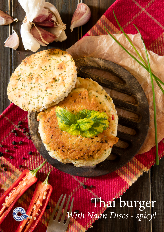Thai burger *With Naan Discs - spicy!*